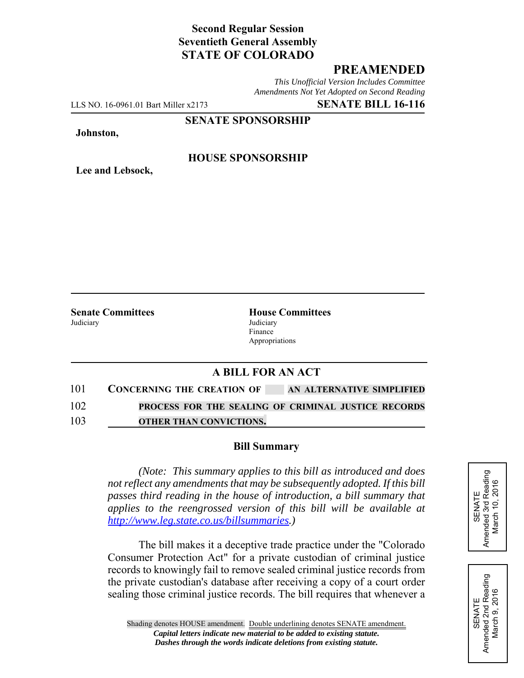# **Second Regular Session Seventieth General Assembly STATE OF COLORADO**

# **PREAMENDED**

*This Unofficial Version Includes Committee Amendments Not Yet Adopted on Second Reading*

LLS NO. 16-0961.01 Bart Miller x2173 **SENATE BILL 16-116**

**SENATE SPONSORSHIP**

#### **Johnston,**

**Lee and Lebsock,**

### **HOUSE SPONSORSHIP**

Judiciary Judiciary

**Senate Committees House Committees** Finance Appropriations

## **A BILL FOR AN ACT**

| 101 | <b>CONCERNING THE CREATION OF</b> | AN ALTERNATIVE SIMPLIFIED |
|-----|-----------------------------------|---------------------------|
|-----|-----------------------------------|---------------------------|

102 **PROCESS FOR THE SEALING OF CRIMINAL JUSTICE RECORDS** 103 **OTHER THAN CONVICTIONS.**

#### **Bill Summary**

*(Note: This summary applies to this bill as introduced and does not reflect any amendments that may be subsequently adopted. If this bill passes third reading in the house of introduction, a bill summary that applies to the reengrossed version of this bill will be available at http://www.leg.state.co.us/billsummaries.)*

The bill makes it a deceptive trade practice under the "Colorado Consumer Protection Act" for a private custodian of criminal justice records to knowingly fail to remove sealed criminal justice records from the private custodian's database after receiving a copy of a court order sealing those criminal justice records. The bill requires that whenever a SENATE<br>Amended 3rd Reading<br>March 10, 2016 Amended 3rd Reading March 10, 2016

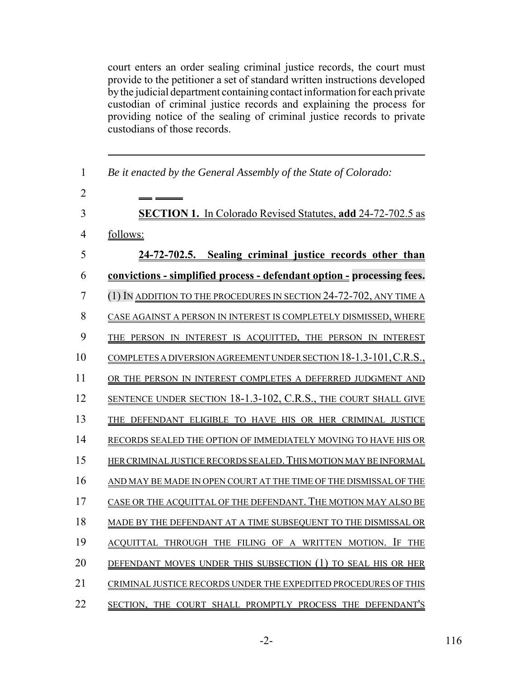court enters an order sealing criminal justice records, the court must provide to the petitioner a set of standard written instructions developed by the judicial department containing contact information for each private custodian of criminal justice records and explaining the process for providing notice of the sealing of criminal justice records to private custodians of those records.

| $\mathbf{1}$   | Be it enacted by the General Assembly of the State of Colorado:               |
|----------------|-------------------------------------------------------------------------------|
| $\overline{2}$ |                                                                               |
| 3              | <b>SECTION 1.</b> In Colorado Revised Statutes, add 24-72-702.5 as            |
| 4              | follows:                                                                      |
| 5              | 24-72-702.5. Sealing criminal justice records other than                      |
| 6              | <u>convictions - simplified process - defendant option - processing fees.</u> |
| 7              | (1) IN ADDITION TO THE PROCEDURES IN SECTION 24-72-702, ANY TIME A            |
| 8              | CASE AGAINST A PERSON IN INTEREST IS COMPLETELY DISMISSED, WHERE              |
| 9              | THE PERSON IN INTEREST IS ACQUITTED, THE PERSON IN INTEREST                   |
| 10             | COMPLETES A DIVERSION AGREEMENT UNDER SECTION 18-1.3-101, C.R.S.,             |
| 11             | OR THE PERSON IN INTEREST COMPLETES A DEFERRED JUDGMENT AND                   |
| 12             | SENTENCE UNDER SECTION 18-1.3-102, C.R.S., THE COURT SHALL GIVE               |
| 13             | THE DEFENDANT ELIGIBLE TO HAVE HIS OR HER CRIMINAL JUSTICE                    |
| 14             | RECORDS SEALED THE OPTION OF IMMEDIATELY MOVING TO HAVE HIS OR                |
| 15             | HER CRIMINAL JUSTICE RECORDS SEALED. THIS MOTION MAY BE INFORMAL              |
| 16             | AND MAY BE MADE IN OPEN COURT AT THE TIME OF THE DISMISSAL OF THE             |
| 17             | CASE OR THE ACQUITTAL OF THE DEFENDANT. THE MOTION MAY ALSO BE                |
| 18             | MADE BY THE DEFENDANT AT A TIME SUBSEQUENT TO THE DISMISSAL OR                |
| 19             | ACQUITTAL THROUGH THE FILING OF A WRITTEN MOTION. IF THE                      |
| 20             | DEFENDANT MOVES UNDER THIS SUBSECTION (1) TO SEAL HIS OR HER                  |
| 21             | CRIMINAL JUSTICE RECORDS UNDER THE EXPEDITED PROCEDURES OF THIS               |
| 22             | SECTION, THE COURT SHALL PROMPTLY PROCESS THE DEFENDANT'S                     |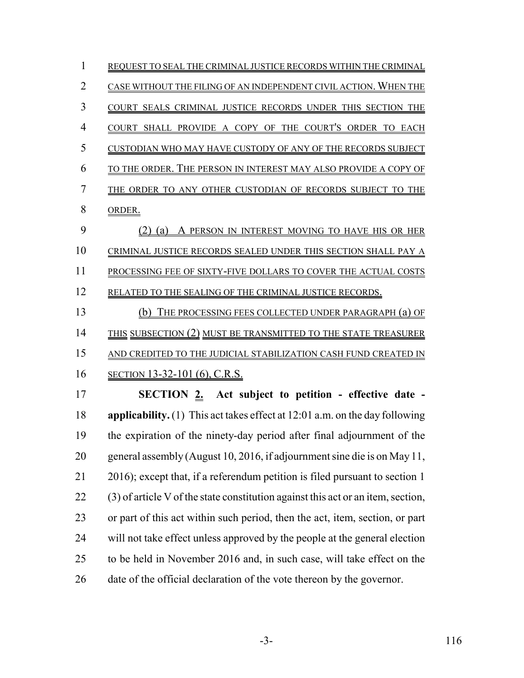| 1              | REOUEST TO SEAL THE CRIMINAL JUSTICE RECORDS WITHIN THE CRIMINAL                 |
|----------------|----------------------------------------------------------------------------------|
| $\overline{2}$ | CASE WITHOUT THE FILING OF AN INDEPENDENT CIVIL ACTION. WHEN THE                 |
| 3              | COURT SEALS CRIMINAL JUSTICE RECORDS UNDER THIS SECTION THE                      |
| 4              | COURT SHALL PROVIDE A COPY OF THE COURT'S ORDER TO EACH                          |
| 5              | CUSTODIAN WHO MAY HAVE CUSTODY OF ANY OF THE RECORDS SUBJECT                     |
| 6              | TO THE ORDER. THE PERSON IN INTEREST MAY ALSO PROVIDE A COPY OF                  |
| 7              | THE ORDER TO ANY OTHER CUSTODIAN OF RECORDS SUBJECT TO THE                       |
| 8              | ORDER.                                                                           |
| 9              | (2)<br>A PERSON IN INTEREST MOVING TO HAVE HIS OR HER<br>(a)                     |
| 10             | CRIMINAL JUSTICE RECORDS SEALED UNDER THIS SECTION SHALL PAY A                   |
| 11             | PROCESSING FEE OF SIXTY-FIVE DOLLARS TO COVER THE ACTUAL COSTS                   |
| 12             | RELATED TO THE SEALING OF THE CRIMINAL JUSTICE RECORDS.                          |
| 13             | THE PROCESSING FEES COLLECTED UNDER PARAGRAPH (a) OF<br>(b)                      |
| 14             | THIS SUBSECTION (2) MUST BE TRANSMITTED TO THE STATE TREASURER                   |
| 15             | AND CREDITED TO THE JUDICIAL STABILIZATION CASH FUND CREATED IN                  |
| 16             | SECTION 13-32-101 (6), C.R.S.                                                    |
| 17             | SECTION 2. Act subject to petition - effective date -                            |
| 18             | applicability. $(1)$ This act takes effect at 12:01 a.m. on the day following    |
| 19             | the expiration of the ninety-day period after final adjournment of the           |
| 20             | general assembly (August 10, 2016, if adjournment sine die is on May 11,         |
| 21             | 2016); except that, if a referendum petition is filed pursuant to section 1      |
| 22             | (3) of article V of the state constitution against this act or an item, section, |
| 23             | or part of this act within such period, then the act, item, section, or part     |
| 24             | will not take effect unless approved by the people at the general election       |
| 25             | to be held in November 2016 and, in such case, will take effect on the           |
| 26             | date of the official declaration of the vote thereon by the governor.            |